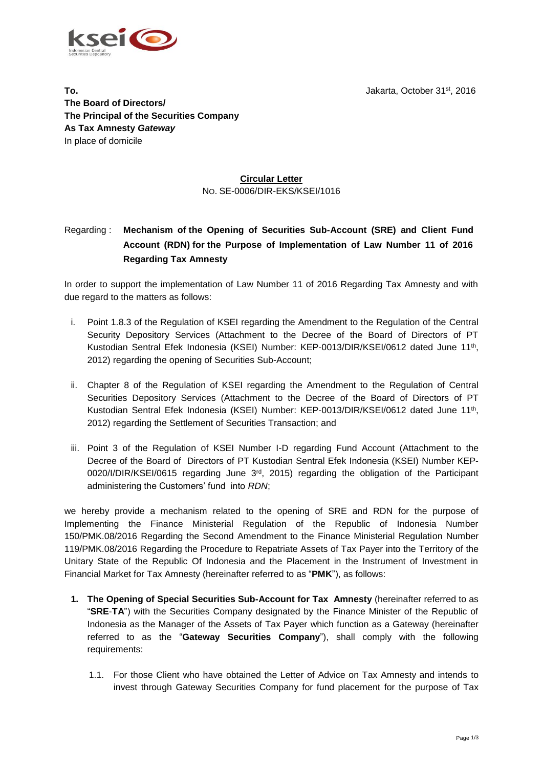Jakarta, October 31st, 2016



**To. The Board of Directors/ The Principal of the Securities Company As Tax Amnesty** *Gateway* In place of domicile

## **Circular Letter** NO. SE-0006/DIR-EKS/KSEI/1016

# Regarding : **Mechanism of the Opening of Securities Sub-Account (SRE) and Client Fund Account (RDN) for the Purpose of Implementation of Law Number 11 of 2016 Regarding Tax Amnesty**

In order to support the implementation of Law Number 11 of 2016 Regarding Tax Amnesty and with due regard to the matters as follows:

- i. Point 1.8.3 of the Regulation of KSEI regarding the Amendment to the Regulation of the Central Security Depository Services (Attachment to the Decree of the Board of Directors of PT Kustodian Sentral Efek Indonesia (KSEI) Number: KEP-0013/DIR/KSEI/0612 dated June 11<sup>th</sup>, 2012) regarding the opening of Securities Sub-Account;
- ii. Chapter 8 of the Regulation of KSEI regarding the Amendment to the Regulation of Central Securities Depository Services (Attachment to the Decree of the Board of Directors of PT Kustodian Sentral Efek Indonesia (KSEI) Number: KEP-0013/DIR/KSEI/0612 dated June 11<sup>th</sup>, 2012) regarding the Settlement of Securities Transaction; and
- iii. Point 3 of the Regulation of KSEI Number I-D regarding Fund Account (Attachment to the Decree of the Board of Directors of PT Kustodian Sentral Efek Indonesia (KSEI) Number KEP-0020/I/DIR/KSEI/0615 regarding June 3<sup>rd</sup>, 2015) regarding the obligation of the Participant administering the Customers' fund into *RDN*;

we hereby provide a mechanism related to the opening of SRE and RDN for the purpose of Implementing the Finance Ministerial Regulation of the Republic of Indonesia Number 150/PMK.08/2016 Regarding the Second Amendment to the Finance Ministerial Regulation Number 119/PMK.08/2016 Regarding the Procedure to Repatriate Assets of Tax Payer into the Territory of the Unitary State of the Republic Of Indonesia and the Placement in the Instrument of Investment in Financial Market for Tax Amnesty (hereinafter referred to as "**PMK**"), as follows:

- **1. The Opening of Special Securities Sub-Account for Tax Amnesty** (hereinafter referred to as "**SRE**-**TA**") with the Securities Company designated by the Finance Minister of the Republic of Indonesia as the Manager of the Assets of Tax Payer which function as a Gateway (hereinafter referred to as the "**Gateway Securities Company**"), shall comply with the following requirements:
	- 1.1. For those Client who have obtained the Letter of Advice on Tax Amnesty and intends to invest through Gateway Securities Company for fund placement for the purpose of Tax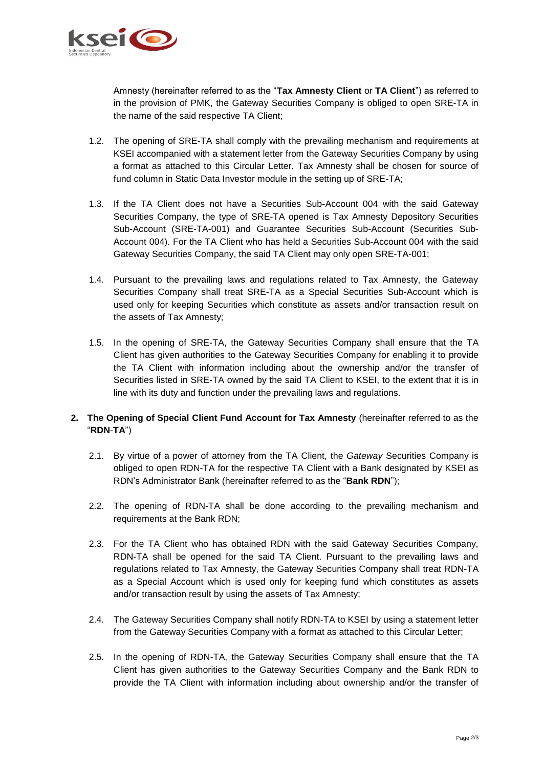

Amnesty (hereinafter referred to as the "**Tax Amnesty Client** or **TA Client**") as referred to in the provision of PMK, the Gateway Securities Company is obliged to open SRE-TA in the name of the said respective TA Client;

- 1.2. The opening of SRE-TA shall comply with the prevailing mechanism and requirements at KSEI accompanied with a statement letter from the Gateway Securities Company by using a format as attached to this Circular Letter. Tax Amnesty shall be chosen for source of fund column in Static Data Investor module in the setting up of SRE-TA;
- 1.3. If the TA Client does not have a Securities Sub-Account 004 with the said Gateway Securities Company, the type of SRE-TA opened is Tax Amnesty Depository Securities Sub-Account (SRE-TA-001) and Guarantee Securities Sub-Account (Securities Sub-Account 004). For the TA Client who has held a Securities Sub-Account 004 with the said Gateway Securities Company, the said TA Client may only open SRE-TA-001;
- 1.4. Pursuant to the prevailing laws and regulations related to Tax Amnesty, the Gateway Securities Company shall treat SRE-TA as a Special Securities Sub-Account which is used only for keeping Securities which constitute as assets and/or transaction result on the assets of Tax Amnesty;
- 1.5. In the opening of SRE-TA, the Gateway Securities Company shall ensure that the TA Client has given authorities to the Gateway Securities Company for enabling it to provide the TA Client with information including about the ownership and/or the transfer of Securities listed in SRE-TA owned by the said TA Client to KSEI, to the extent that it is in line with its duty and function under the prevailing laws and regulations.

## **2. The Opening of Special Client Fund Account for Tax Amnesty** (hereinafter referred to as the "**RDN**-**TA**")

- 2.1. By virtue of a power of attorney from the TA Client, the *Gateway* Securities Company is obliged to open RDN-TA for the respective TA Client with a Bank designated by KSEI as RDN's Administrator Bank (hereinafter referred to as the "**Bank RDN**");
- 2.2. The opening of RDN-TA shall be done according to the prevailing mechanism and requirements at the Bank RDN;
- 2.3. For the TA Client who has obtained RDN with the said Gateway Securities Company, RDN-TA shall be opened for the said TA Client. Pursuant to the prevailing laws and regulations related to Tax Amnesty, the Gateway Securities Company shall treat RDN-TA as a Special Account which is used only for keeping fund which constitutes as assets and/or transaction result by using the assets of Tax Amnesty;
- 2.4. The Gateway Securities Company shall notify RDN-TA to KSEI by using a statement letter from the Gateway Securities Company with a format as attached to this Circular Letter;
- 2.5. In the opening of RDN-TA, the Gateway Securities Company shall ensure that the TA Client has given authorities to the Gateway Securities Company and the Bank RDN to provide the TA Client with information including about ownership and/or the transfer of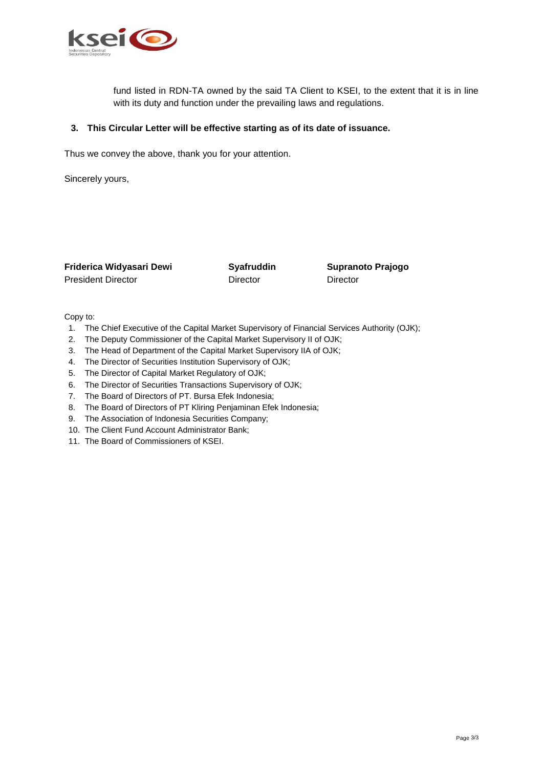

fund listed in RDN-TA owned by the said TA Client to KSEI, to the extent that it is in line with its duty and function under the prevailing laws and regulations.

### **3. This Circular Letter will be effective starting as of its date of issuance.**

Thus we convey the above, thank you for your attention.

Sincerely yours,

| Friderica Widyasari Dewi  | Syafruddin | Supran   |
|---------------------------|------------|----------|
| <b>President Director</b> | Director   | Director |

**Friderica Widyasari Dewi Syafruddin Supranoto Prajogo**

Copy to:

- 1. The Chief Executive of the Capital Market Supervisory of Financial Services Authority (OJK);
- 2. The Deputy Commissioner of the Capital Market Supervisory II of OJK;
- 3. The Head of Department of the Capital Market Supervisory IIA of OJK;
- 4. The Director of Securities Institution Supervisory of OJK;
- 5. The Director of Capital Market Regulatory of OJK;
- 6. The Director of Securities Transactions Supervisory of OJK;
- 7. The Board of Directors of PT. Bursa Efek Indonesia;
- 8. The Board of Directors of PT Kliring Penjaminan Efek Indonesia;
- 9. The Association of Indonesia Securities Company;
- 10. The Client Fund Account Administrator Bank;
- 11. The Board of Commissioners of KSEI.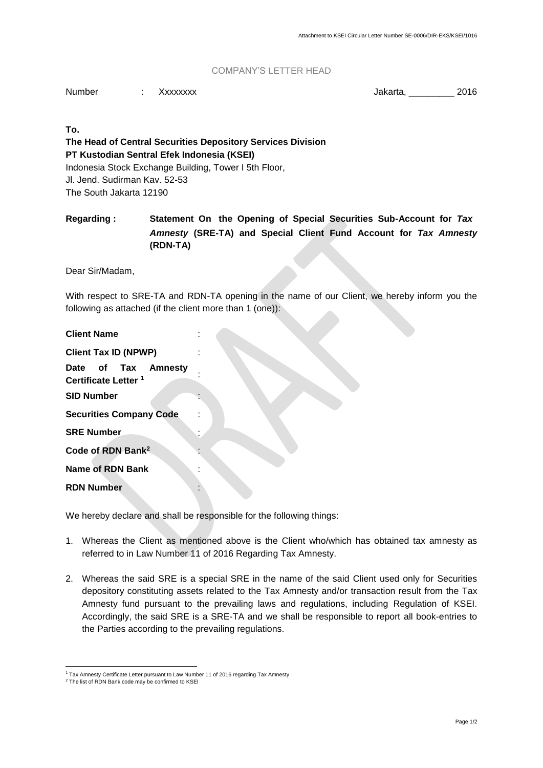#### COMPANY'S LETTER HEAD

Number : Xxxxxxxx : Jakarta, 2016

**To.**

**The Head of Central Securities Depository Services Division PT Kustodian Sentral Efek Indonesia (KSEI)** Indonesia Stock Exchange Building, Tower I 5th Floor, Jl. Jend. Sudirman Kav. 52-53 The South Jakarta 12190

**Regarding : Statement On the Opening of Special Securities Sub-Account for** *Tax Amnesty* **(SRE-TA) and Special Client Fund Account for** *Tax Amnesty* **(RDN-TA)**

Dear Sir/Madam,

With respect to SRE-TA and RDN-TA opening in the name of our Client, we hereby inform you the following as attached (if the client more than 1 (one)):

| <b>Client Tax ID (NPWP)</b>     |  |  |                     |  |
|---------------------------------|--|--|---------------------|--|
|                                 |  |  | Date of Tax Amnesty |  |
| Certificate Letter <sup>1</sup> |  |  |                     |  |
| <b>SID Number</b>               |  |  |                     |  |
| <b>Securities Company Code</b>  |  |  |                     |  |
| <b>SRE Number</b>               |  |  |                     |  |
| Code of RDN Bank <sup>2</sup>   |  |  |                     |  |
| <b>Name of RDN Bank</b>         |  |  |                     |  |
| <b>RDN Number</b>               |  |  |                     |  |

We hereby declare and shall be responsible for the following things:

- 1. Whereas the Client as mentioned above is the Client who/which has obtained tax amnesty as referred to in Law Number 11 of 2016 Regarding Tax Amnesty.
- 2. Whereas the said SRE is a special SRE in the name of the said Client used only for Securities depository constituting assets related to the Tax Amnesty and/or transaction result from the Tax Amnesty fund pursuant to the prevailing laws and regulations, including Regulation of KSEI. Accordingly, the said SRE is a SRE-TA and we shall be responsible to report all book-entries to the Parties according to the prevailing regulations.

 <sup>1</sup> Tax Amnesty Certificate Letter pursuant to Law Number 11 of 2016 regarding Tax Amnesty

<sup>&</sup>lt;sup>2</sup> The list of RDN Bank code may be confirmed to KSEI